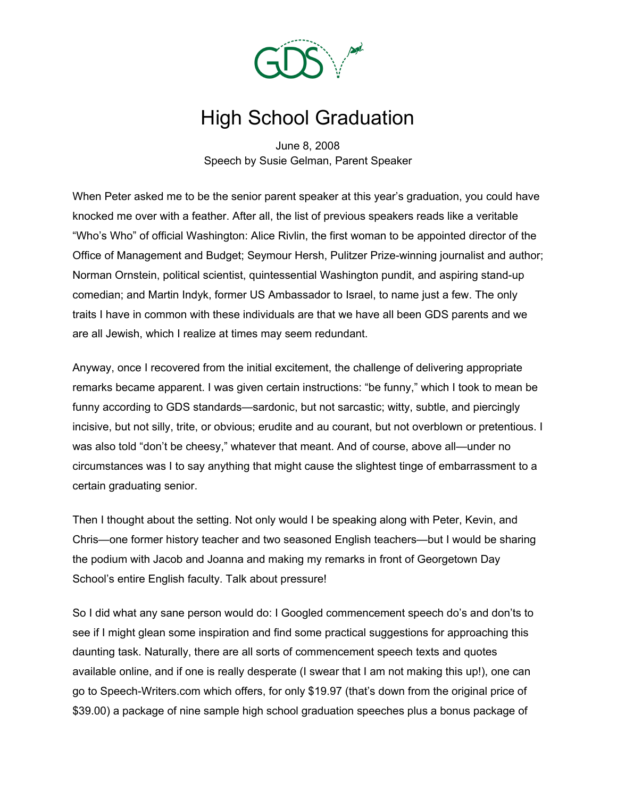

## High School Graduation

June 8, 2008 Speech by Susie Gelman, Parent Speaker

When Peter asked me to be the senior parent speaker at this year's graduation, you could have knocked me over with a feather. After all, the list of previous speakers reads like a veritable "Who's Who" of official Washington: Alice Rivlin, the first woman to be appointed director of the Office of Management and Budget; Seymour Hersh, Pulitzer Prize-winning journalist and author; Norman Ornstein, political scientist, quintessential Washington pundit, and aspiring stand-up comedian; and Martin Indyk, former US Ambassador to Israel, to name just a few. The only traits I have in common with these individuals are that we have all been GDS parents and we are all Jewish, which I realize at times may seem redundant.

Anyway, once I recovered from the initial excitement, the challenge of delivering appropriate remarks became apparent. I was given certain instructions: "be funny," which I took to mean be funny according to GDS standards—sardonic, but not sarcastic; witty, subtle, and piercingly incisive, but not silly, trite, or obvious; erudite and au courant, but not overblown or pretentious. I was also told "don't be cheesy," whatever that meant. And of course, above all—under no circumstances was I to say anything that might cause the slightest tinge of embarrassment to a certain graduating senior.

Then I thought about the setting. Not only would I be speaking along with Peter, Kevin, and Chris—one former history teacher and two seasoned English teachers—but I would be sharing the podium with Jacob and Joanna and making my remarks in front of Georgetown Day School's entire English faculty. Talk about pressure!

So I did what any sane person would do: I Googled commencement speech do's and don'ts to see if I might glean some inspiration and find some practical suggestions for approaching this daunting task. Naturally, there are all sorts of commencement speech texts and quotes available online, and if one is really desperate (I swear that I am not making this up!), one can go to Speech-Writers.com which offers, for only \$19.97 (that's down from the original price of \$39.00) a package of nine sample high school graduation speeches plus a bonus package of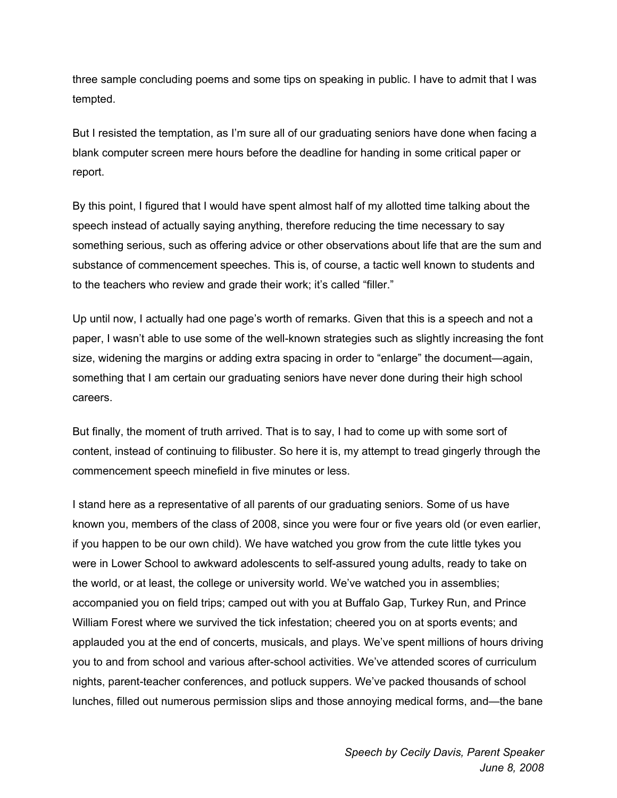three sample concluding poems and some tips on speaking in public. I have to admit that I was tempted.

But I resisted the temptation, as I'm sure all of our graduating seniors have done when facing a blank computer screen mere hours before the deadline for handing in some critical paper or report.

By this point, I figured that I would have spent almost half of my allotted time talking about the speech instead of actually saying anything, therefore reducing the time necessary to say something serious, such as offering advice or other observations about life that are the sum and substance of commencement speeches. This is, of course, a tactic well known to students and to the teachers who review and grade their work; it's called "filler."

Up until now, I actually had one page's worth of remarks. Given that this is a speech and not a paper, I wasn't able to use some of the well-known strategies such as slightly increasing the font size, widening the margins or adding extra spacing in order to "enlarge" the document—again, something that I am certain our graduating seniors have never done during their high school careers.

But finally, the moment of truth arrived. That is to say, I had to come up with some sort of content, instead of continuing to filibuster. So here it is, my attempt to tread gingerly through the commencement speech minefield in five minutes or less.

I stand here as a representative of all parents of our graduating seniors. Some of us have known you, members of the class of 2008, since you were four or five years old (or even earlier, if you happen to be our own child). We have watched you grow from the cute little tykes you were in Lower School to awkward adolescents to self-assured young adults, ready to take on the world, or at least, the college or university world. We've watched you in assemblies; accompanied you on field trips; camped out with you at Buffalo Gap, Turkey Run, and Prince William Forest where we survived the tick infestation; cheered you on at sports events; and applauded you at the end of concerts, musicals, and plays. We've spent millions of hours driving you to and from school and various after-school activities. We've attended scores of curriculum nights, parent-teacher conferences, and potluck suppers. We've packed thousands of school lunches, filled out numerous permission slips and those annoying medical forms, and—the bane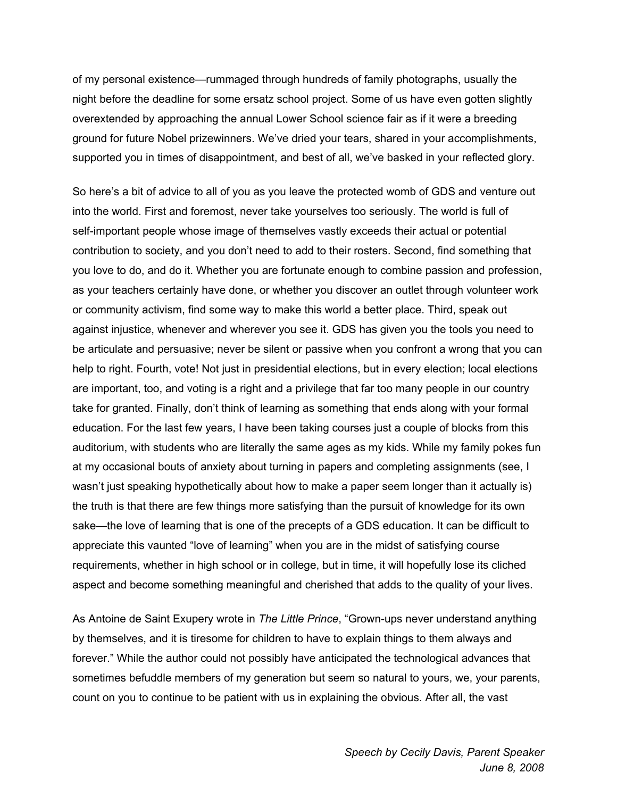of my personal existence—rummaged through hundreds of family photographs, usually the night before the deadline for some ersatz school project. Some of us have even gotten slightly overextended by approaching the annual Lower School science fair as if it were a breeding ground for future Nobel prizewinners. We've dried your tears, shared in your accomplishments, supported you in times of disappointment, and best of all, we've basked in your reflected glory.

So here's a bit of advice to all of you as you leave the protected womb of GDS and venture out into the world. First and foremost, never take yourselves too seriously. The world is full of self-important people whose image of themselves vastly exceeds their actual or potential contribution to society, and you don't need to add to their rosters. Second, find something that you love to do, and do it. Whether you are fortunate enough to combine passion and profession, as your teachers certainly have done, or whether you discover an outlet through volunteer work or community activism, find some way to make this world a better place. Third, speak out against injustice, whenever and wherever you see it. GDS has given you the tools you need to be articulate and persuasive; never be silent or passive when you confront a wrong that you can help to right. Fourth, vote! Not just in presidential elections, but in every election; local elections are important, too, and voting is a right and a privilege that far too many people in our country take for granted. Finally, don't think of learning as something that ends along with your formal education. For the last few years, I have been taking courses just a couple of blocks from this auditorium, with students who are literally the same ages as my kids. While my family pokes fun at my occasional bouts of anxiety about turning in papers and completing assignments (see, I wasn't just speaking hypothetically about how to make a paper seem longer than it actually is) the truth is that there are few things more satisfying than the pursuit of knowledge for its own sake—the love of learning that is one of the precepts of a GDS education. It can be difficult to appreciate this vaunted "love of learning" when you are in the midst of satisfying course requirements, whether in high school or in college, but in time, it will hopefully lose its cliched aspect and become something meaningful and cherished that adds to the quality of your lives.

As Antoine de Saint Exupery wrote in *The Little Prince*, "Grown-ups never understand anything by themselves, and it is tiresome for children to have to explain things to them always and forever." While the author could not possibly have anticipated the technological advances that sometimes befuddle members of my generation but seem so natural to yours, we, your parents, count on you to continue to be patient with us in explaining the obvious. After all, the vast